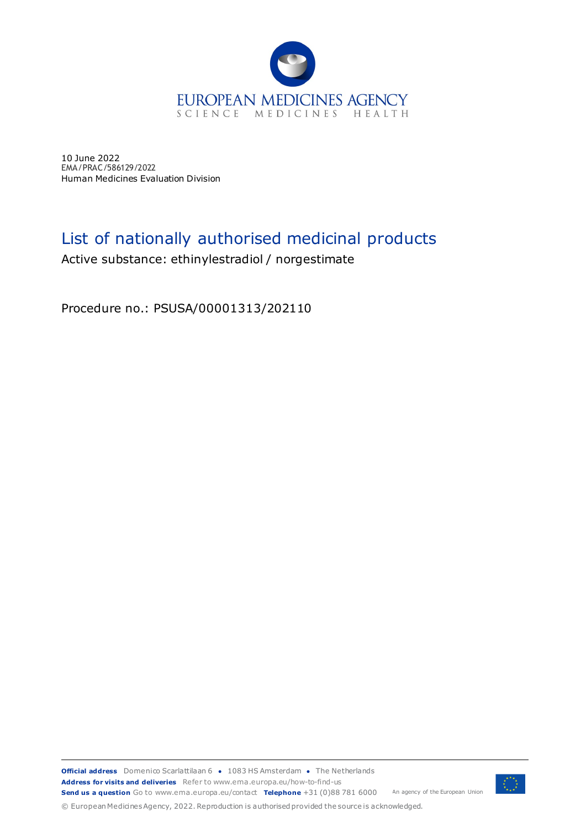

10 June 2022 EMA/PRAC/586129/2022 Human Medicines Evaluation Division

## List of nationally authorised medicinal products

Active substance: ethinylestradiol / norgestimate

Procedure no.: PSUSA/00001313/202110